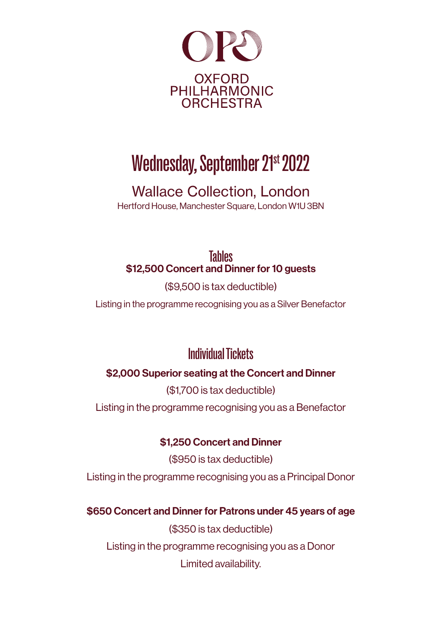

# Wednesday, September 21st 2022

Wallace Collection, London Hertford House, Manchester Square, London W1U 3BN

Tables \$12,500 Concert and Dinner for 10 guests

(\$9,500 is tax deductible)

Listing in the programme recognising you as a Silver Benefactor

### Individual Tickets

#### \$2,000 Superior seating at the Concert and Dinner

(\$1,700 is tax deductible) Listing in the programme recognising you as a Benefactor

\$1,250 Concert and Dinner

(\$950 is tax deductible) Listing in the programme recognising you as a Principal Donor

#### \$650 Concert and Dinner for Patrons under 45 years of age

(\$350 is tax deductible) Listing in the programme recognising you as a Donor Limited availability.